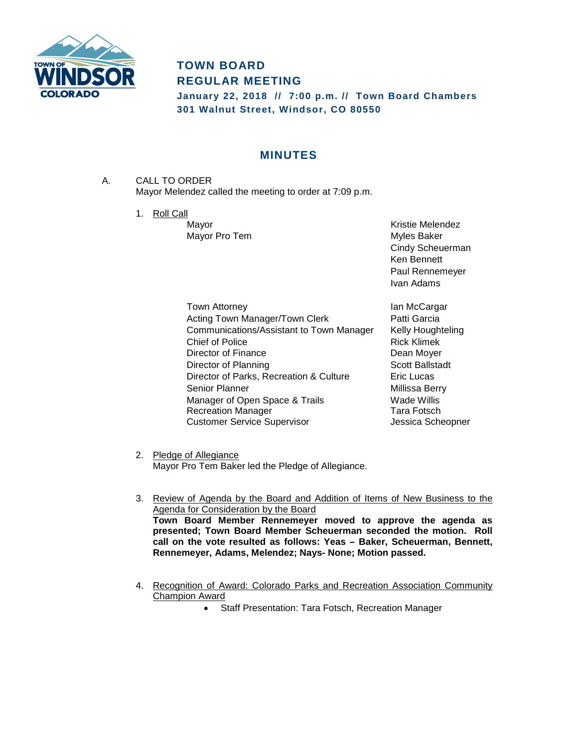

# **TOWN BOARD REGULAR MEETING**

**January 22, 2018 // 7:00 p.m. // Town Board Chambers 301 Walnut Street, Windsor, CO 80550**

## **MINUTES**

- A. CALL TO ORDER Mayor Melendez called the meeting to order at 7:09 p.m.
	- 1. Roll Call

Mayor **Mayor** Mayor **Mayor** Mayor **Mayor Mayor Mayor Mayor Mayor Mayor Mayor Mayor Mayor Mayor Mayor Mayor Mayor Mayor Mayor Mayor Mayor Mayor Mayor Mayor Mayor Mayor Mayor May** Mayor Pro Tem **Myles** Baker Cindy Scheuerman Ken Bennett Paul Rennemeyer Ivan Adams

Town Attorney **Internal Contract Contract Contract Contract Contract Contract Contract Contract Contract Contract Contract Contract Contract Contract Contract Contract Contract Contract Contract Contract Contract Contract** Acting Town Manager/Town Clerk **Patti Garcia** Communications/Assistant to Town Manager Kelly Houghteling Chief of Police **Rick Klimek** Director of Finance Director of American Channel Dean Moyer Director of Planning Scott Ballstadt Director of Parks, Recreation & Culture Eric Lucas Senior Planner<br>
Manager of Open Space & Trails<br>
Manager of Open Space & Trails<br>
Made Willis Manager of Open Space & Trails Recreation Manager Tara Fotsch Customer Service Supervisor **Customer Service Supervisor** Jessica Scheopner

2. Pledge of Allegiance Mayor Pro Tem Baker led the Pledge of Allegiance.

- 3. Review of Agenda by the Board and Addition of Items of New Business to the Agenda for Consideration by the Board **Town Board Member Rennemeyer moved to approve the agenda as presented; Town Board Member Scheuerman seconded the motion. Roll call on the vote resulted as follows: Yeas – Baker, Scheuerman, Bennett, Rennemeyer, Adams, Melendez; Nays- None; Motion passed.**
- 4. Recognition of Award: Colorado Parks and Recreation Association Community Champion Award
	- Staff Presentation: Tara Fotsch, Recreation Manager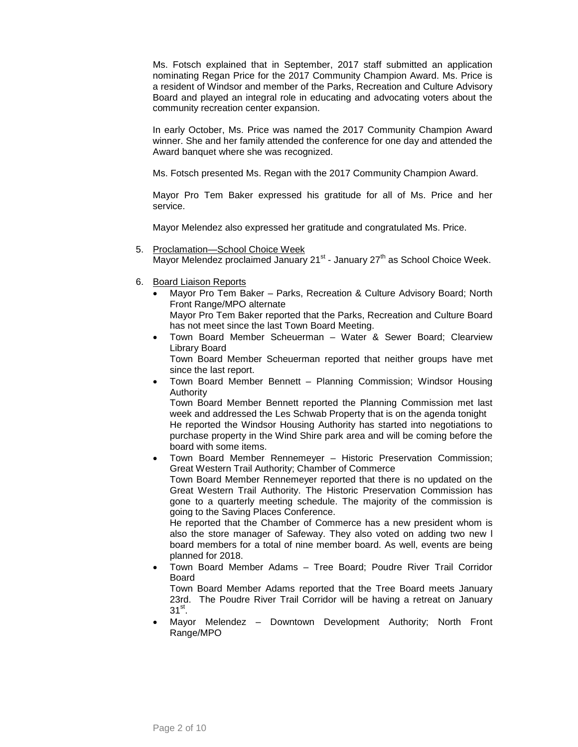Ms. Fotsch explained that in September, 2017 staff submitted an application nominating Regan Price for the 2017 Community Champion Award. Ms. Price is a resident of Windsor and member of the Parks, Recreation and Culture Advisory Board and played an integral role in educating and advocating voters about the community recreation center expansion.

In early October, Ms. Price was named the 2017 Community Champion Award winner. She and her family attended the conference for one day and attended the Award banquet where she was recognized.

Ms. Fotsch presented Ms. Regan with the 2017 Community Champion Award.

Mayor Pro Tem Baker expressed his gratitude for all of Ms. Price and her service.

Mayor Melendez also expressed her gratitude and congratulated Ms. Price.

- 5. Proclamation—School Choice Week Mayor Melendez proclaimed January  $21^{st}$  - January  $27^{th}$  as School Choice Week.
- 6. Board Liaison Reports
	- Mayor Pro Tem Baker Parks, Recreation & Culture Advisory Board; North Front Range/MPO alternate

Mayor Pro Tem Baker reported that the Parks, Recreation and Culture Board has not meet since the last Town Board Meeting.

• Town Board Member Scheuerman – Water & Sewer Board; Clearview Library Board

Town Board Member Scheuerman reported that neither groups have met since the last report.

• Town Board Member Bennett – Planning Commission; Windsor Housing Authority

Town Board Member Bennett reported the Planning Commission met last week and addressed the Les Schwab Property that is on the agenda tonight He reported the Windsor Housing Authority has started into negotiations to purchase property in the Wind Shire park area and will be coming before the board with some items.

• Town Board Member Rennemeyer – Historic Preservation Commission; Great Western Trail Authority; Chamber of Commerce Town Board Member Rennemeyer reported that there is no updated on the Great Western Trail Authority. The Historic Preservation Commission has gone to a quarterly meeting schedule. The majority of the commission is going to the Saving Places Conference.

He reported that the Chamber of Commerce has a new president whom is also the store manager of Safeway. They also voted on adding two new l board members for a total of nine member board. As well, events are being planned for 2018.

• Town Board Member Adams – Tree Board; Poudre River Trail Corridor Board

Town Board Member Adams reported that the Tree Board meets January 23rd. The Poudre River Trail Corridor will be having a retreat on January  $31^\text{st}$ .

Mayor Melendez - Downtown Development Authority; North Front Range/MPO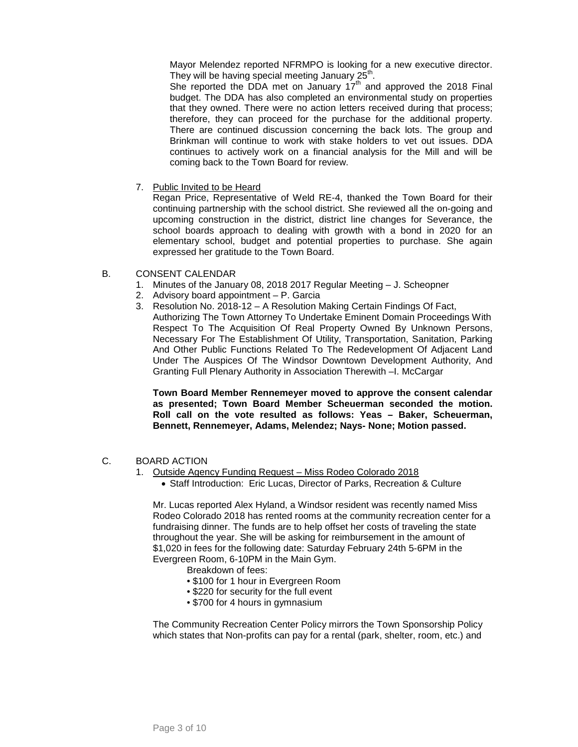Mayor Melendez reported NFRMPO is looking for a new executive director. They will be having special meeting January  $25<sup>th</sup>$ .

She reported the DDA met on January  $17<sup>th</sup>$  and approved the 2018 Final budget. The DDA has also completed an environmental study on properties that they owned. There were no action letters received during that process; therefore, they can proceed for the purchase for the additional property. There are continued discussion concerning the back lots. The group and Brinkman will continue to work with stake holders to vet out issues. DDA continues to actively work on a financial analysis for the Mill and will be coming back to the Town Board for review.

7. Public Invited to be Heard

Regan Price, Representative of Weld RE-4, thanked the Town Board for their continuing partnership with the school district. She reviewed all the on-going and upcoming construction in the district, district line changes for Severance, the school boards approach to dealing with growth with a bond in 2020 for an elementary school, budget and potential properties to purchase. She again expressed her gratitude to the Town Board.

- B. CONSENT CALENDAR
	- 1. Minutes of the January 08, 2018 2017 Regular Meeting J. Scheopner
	- 2. Advisory board appointment P. Garcia
	- 3. Resolution No. 2018-12 A Resolution Making Certain Findings Of Fact, Authorizing The Town Attorney To Undertake Eminent Domain Proceedings With Respect To The Acquisition Of Real Property Owned By Unknown Persons, Necessary For The Establishment Of Utility, Transportation, Sanitation, Parking And Other Public Functions Related To The Redevelopment Of Adjacent Land Under The Auspices Of The Windsor Downtown Development Authority, And Granting Full Plenary Authority in Association Therewith –I. McCargar

**Town Board Member Rennemeyer moved to approve the consent calendar as presented; Town Board Member Scheuerman seconded the motion. Roll call on the vote resulted as follows: Yeas – Baker, Scheuerman, Bennett, Rennemeyer, Adams, Melendez; Nays- None; Motion passed.**

- C. BOARD ACTION
	- 1. Outside Agency Funding Request Miss Rodeo Colorado 2018
		- Staff Introduction: Eric Lucas, Director of Parks, Recreation & Culture

Mr. Lucas reported Alex Hyland, a Windsor resident was recently named Miss Rodeo Colorado 2018 has rented rooms at the community recreation center for a fundraising dinner. The funds are to help offset her costs of traveling the state throughout the year. She will be asking for reimbursement in the amount of \$1,020 in fees for the following date: Saturday February 24th 5-6PM in the Evergreen Room, 6-10PM in the Main Gym.

- Breakdown of fees:
- \$100 for 1 hour in Evergreen Room
- \$220 for security for the full event
- \$700 for 4 hours in gymnasium

The Community Recreation Center Policy mirrors the Town Sponsorship Policy which states that Non-profits can pay for a rental (park, shelter, room, etc.) and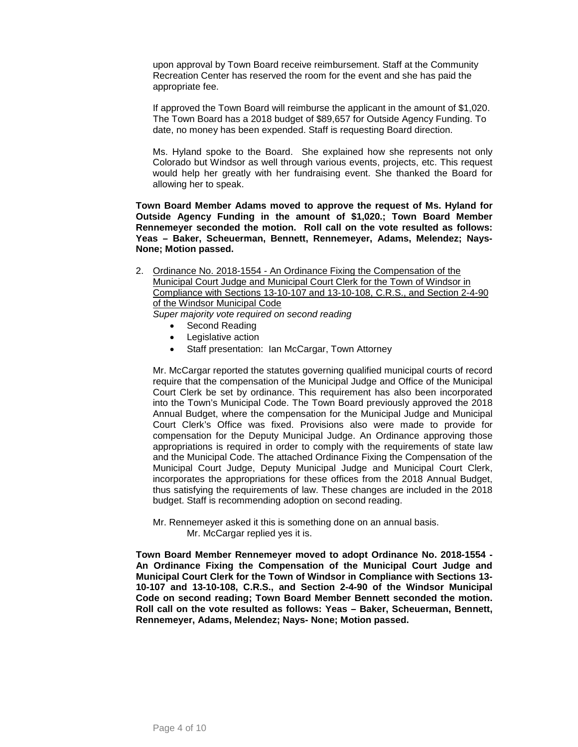upon approval by Town Board receive reimbursement. Staff at the Community Recreation Center has reserved the room for the event and she has paid the appropriate fee.

If approved the Town Board will reimburse the applicant in the amount of \$1,020. The Town Board has a 2018 budget of \$89,657 for Outside Agency Funding. To date, no money has been expended. Staff is requesting Board direction.

Ms. Hyland spoke to the Board. She explained how she represents not only Colorado but Windsor as well through various events, projects, etc. This request would help her greatly with her fundraising event. She thanked the Board for allowing her to speak.

**Town Board Member Adams moved to approve the request of Ms. Hyland for Outside Agency Funding in the amount of \$1,020.; Town Board Member Rennemeyer seconded the motion. Roll call on the vote resulted as follows: Yeas – Baker, Scheuerman, Bennett, Rennemeyer, Adams, Melendez; Nays-None; Motion passed.**

2. Ordinance No. 2018-1554 - An Ordinance Fixing the Compensation of the Municipal Court Judge and Municipal Court Clerk for the Town of Windsor in Compliance with Sections 13-10-107 and 13-10-108, C.R.S., and Section 2-4-90 of the Windsor Municipal Code *Super majority vote required on second reading*

- Second Reading
- Legislative action
- Staff presentation: Ian McCargar, Town Attorney

Mr. McCargar reported the statutes governing qualified municipal courts of record require that the compensation of the Municipal Judge and Office of the Municipal Court Clerk be set by ordinance. This requirement has also been incorporated into the Town's Municipal Code. The Town Board previously approved the 2018 Annual Budget, where the compensation for the Municipal Judge and Municipal Court Clerk's Office was fixed. Provisions also were made to provide for compensation for the Deputy Municipal Judge. An Ordinance approving those appropriations is required in order to comply with the requirements of state law and the Municipal Code. The attached Ordinance Fixing the Compensation of the Municipal Court Judge, Deputy Municipal Judge and Municipal Court Clerk, incorporates the appropriations for these offices from the 2018 Annual Budget, thus satisfying the requirements of law. These changes are included in the 2018 budget. Staff is recommending adoption on second reading.

Mr. Rennemeyer asked it this is something done on an annual basis. Mr. McCargar replied yes it is.

**Town Board Member Rennemeyer moved to adopt Ordinance No. 2018-1554 - An Ordinance Fixing the Compensation of the Municipal Court Judge and Municipal Court Clerk for the Town of Windsor in Compliance with Sections 13- 10-107 and 13-10-108, C.R.S., and Section 2-4-90 of the Windsor Municipal Code on second reading; Town Board Member Bennett seconded the motion. Roll call on the vote resulted as follows: Yeas – Baker, Scheuerman, Bennett, Rennemeyer, Adams, Melendez; Nays- None; Motion passed.**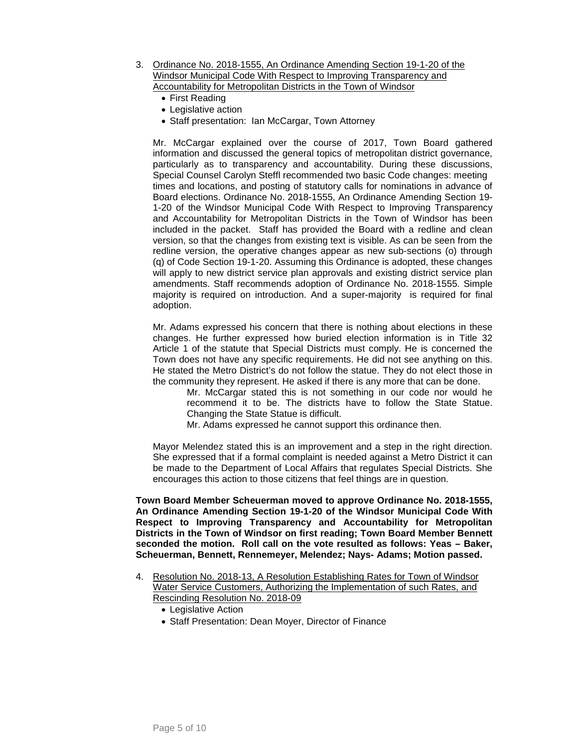- 3. Ordinance No. 2018-1555, An Ordinance Amending Section 19-1-20 of the Windsor Municipal Code With Respect to Improving Transparency and Accountability for Metropolitan Districts in the Town of Windsor
	- First Reading
	- Legislative action
	- Staff presentation: Ian McCargar, Town Attorney

Mr. McCargar explained over the course of 2017, Town Board gathered information and discussed the general topics of metropolitan district governance, particularly as to transparency and accountability. During these discussions, Special Counsel Carolyn Steffl recommended two basic Code changes: meeting times and locations, and posting of statutory calls for nominations in advance of Board elections. Ordinance No. 2018-1555, An Ordinance Amending Section 19- 1-20 of the Windsor Municipal Code With Respect to Improving Transparency and Accountability for Metropolitan Districts in the Town of Windsor has been included in the packet. Staff has provided the Board with a redline and clean version, so that the changes from existing text is visible. As can be seen from the redline version, the operative changes appear as new sub-sections (o) through (q) of Code Section 19-1-20. Assuming this Ordinance is adopted, these changes will apply to new district service plan approvals and existing district service plan amendments. Staff recommends adoption of Ordinance No. 2018-1555. Simple majority is required on introduction. And a super-majority is required for final adoption.

Mr. Adams expressed his concern that there is nothing about elections in these changes. He further expressed how buried election information is in Title 32 Article 1 of the statute that Special Districts must comply. He is concerned the Town does not have any specific requirements. He did not see anything on this. He stated the Metro District's do not follow the statue. They do not elect those in the community they represent. He asked if there is any more that can be done.

> Mr. McCargar stated this is not something in our code nor would he recommend it to be. The districts have to follow the State Statue. Changing the State Statue is difficult.

Mr. Adams expressed he cannot support this ordinance then.

Mayor Melendez stated this is an improvement and a step in the right direction. She expressed that if a formal complaint is needed against a Metro District it can be made to the Department of Local Affairs that regulates Special Districts. She encourages this action to those citizens that feel things are in question.

**Town Board Member Scheuerman moved to approve Ordinance No. 2018-1555, An Ordinance Amending Section 19-1-20 of the Windsor Municipal Code With Respect to Improving Transparency and Accountability for Metropolitan Districts in the Town of Windsor on first reading; Town Board Member Bennett seconded the motion. Roll call on the vote resulted as follows: Yeas – Baker, Scheuerman, Bennett, Rennemeyer, Melendez; Nays- Adams; Motion passed.**

- 4. Resolution No. 2018-13, A Resolution Establishing Rates for Town of Windsor Water Service Customers, Authorizing the Implementation of such Rates, and Rescinding Resolution No. 2018-09
	- Legislative Action
	- Staff Presentation: Dean Moyer, Director of Finance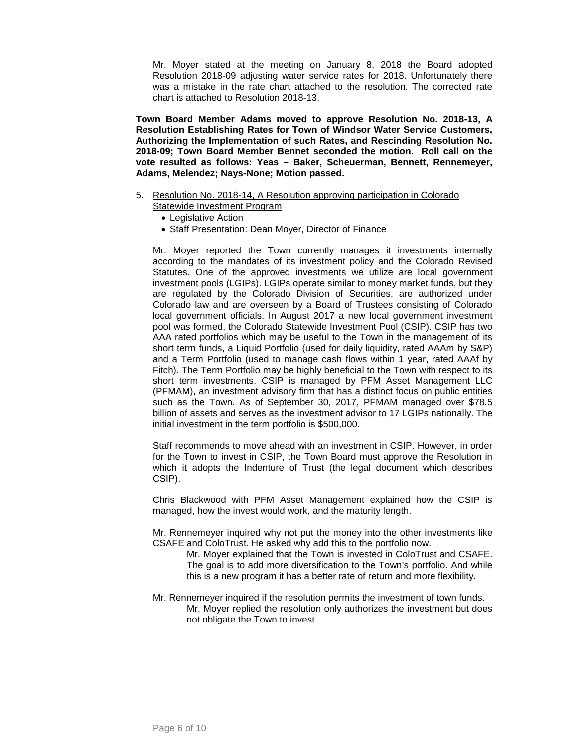Mr. Moyer stated at the meeting on January 8, 2018 the Board adopted Resolution 2018-09 adjusting water service rates for 2018. Unfortunately there was a mistake in the rate chart attached to the resolution. The corrected rate chart is attached to Resolution 2018-13.

**Town Board Member Adams moved to approve Resolution No. 2018-13, A Resolution Establishing Rates for Town of Windsor Water Service Customers, Authorizing the Implementation of such Rates, and Rescinding Resolution No. 2018-09; Town Board Member Bennet seconded the motion. Roll call on the vote resulted as follows: Yeas – Baker, Scheuerman, Bennett, Rennemeyer, Adams, Melendez; Nays-None; Motion passed.**

- 5. Resolution No. 2018-14, A Resolution approving participation in Colorado Statewide Investment Program
	- Legislative Action
	- Staff Presentation: Dean Moyer, Director of Finance

Mr. Moyer reported the Town currently manages it investments internally according to the mandates of its investment policy and the Colorado Revised Statutes. One of the approved investments we utilize are local government investment pools (LGIPs). LGIPs operate similar to money market funds, but they are regulated by the Colorado Division of Securities, are authorized under Colorado law and are overseen by a Board of Trustees consisting of Colorado local government officials. In August 2017 a new local government investment pool was formed, the Colorado Statewide Investment Pool (CSIP). CSIP has two AAA rated portfolios which may be useful to the Town in the management of its short term funds, a Liquid Portfolio (used for daily liquidity, rated AAAm by S&P) and a Term Portfolio (used to manage cash flows within 1 year, rated AAAf by Fitch). The Term Portfolio may be highly beneficial to the Town with respect to its short term investments. CSIP is managed by PFM Asset Management LLC (PFMAM), an investment advisory firm that has a distinct focus on public entities such as the Town. As of September 30, 2017, PFMAM managed over \$78.5 billion of assets and serves as the investment advisor to 17 LGIPs nationally. The initial investment in the term portfolio is \$500,000.

Staff recommends to move ahead with an investment in CSIP. However, in order for the Town to invest in CSIP, the Town Board must approve the Resolution in which it adopts the Indenture of Trust (the legal document which describes CSIP).

Chris Blackwood with PFM Asset Management explained how the CSIP is managed, how the invest would work, and the maturity length.

Mr. Rennemeyer inquired why not put the money into the other investments like CSAFE and ColoTrust. He asked why add this to the portfolio now.

- Mr. Moyer explained that the Town is invested in ColoTrust and CSAFE. The goal is to add more diversification to the Town's portfolio. And while this is a new program it has a better rate of return and more flexibility.
- Mr. Rennemeyer inquired if the resolution permits the investment of town funds. Mr. Moyer replied the resolution only authorizes the investment but does not obligate the Town to invest.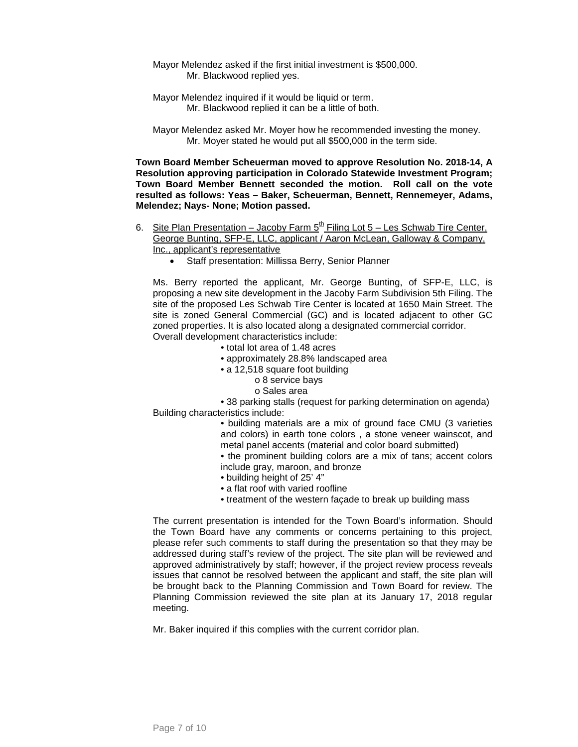- Mayor Melendez asked if the first initial investment is \$500,000. Mr. Blackwood replied yes.
- Mayor Melendez inquired if it would be liquid or term. Mr. Blackwood replied it can be a little of both.
- Mayor Melendez asked Mr. Moyer how he recommended investing the money. Mr. Moyer stated he would put all \$500,000 in the term side.

**Town Board Member Scheuerman moved to approve Resolution No. 2018-14, A Resolution approving participation in Colorado Statewide Investment Program; Town Board Member Bennett seconded the motion. Roll call on the vote resulted as follows: Yeas – Baker, Scheuerman, Bennett, Rennemeyer, Adams, Melendez; Nays- None; Motion passed.**

- 6. Site Plan Presentation Jacoby Farm  $5^{\underline{th}}$  Filing Lot 5 Les Schwab Tire Center, George Bunting, SFP-E, LLC, applicant / Aaron McLean, Galloway & Company, Inc., applicant's representative
	- Staff presentation: Millissa Berry, Senior Planner

Ms. Berry reported the applicant, Mr. George Bunting, of SFP-E, LLC, is proposing a new site development in the Jacoby Farm Subdivision 5th Filing. The site of the proposed Les Schwab Tire Center is located at 1650 Main Street. The site is zoned General Commercial (GC) and is located adjacent to other GC zoned properties. It is also located along a designated commercial corridor. Overall development characteristics include:

- total lot area of 1.48 acres
- approximately 28.8% landscaped area
- a 12,518 square foot building
	- o 8 service bays
		- o Sales area

• 38 parking stalls (request for parking determination on agenda) Building characteristics include:

- building materials are a mix of ground face CMU (3 varieties and colors) in earth tone colors , a stone veneer wainscot, and metal panel accents (material and color board submitted)
- the prominent building colors are a mix of tans; accent colors include gray, maroon, and bronze
- building height of 25' 4"
- a flat roof with varied roofline
- treatment of the western façade to break up building mass

The current presentation is intended for the Town Board's information. Should the Town Board have any comments or concerns pertaining to this project, please refer such comments to staff during the presentation so that they may be addressed during staff's review of the project. The site plan will be reviewed and approved administratively by staff; however, if the project review process reveals issues that cannot be resolved between the applicant and staff, the site plan will be brought back to the Planning Commission and Town Board for review. The Planning Commission reviewed the site plan at its January 17, 2018 regular meeting.

Mr. Baker inquired if this complies with the current corridor plan.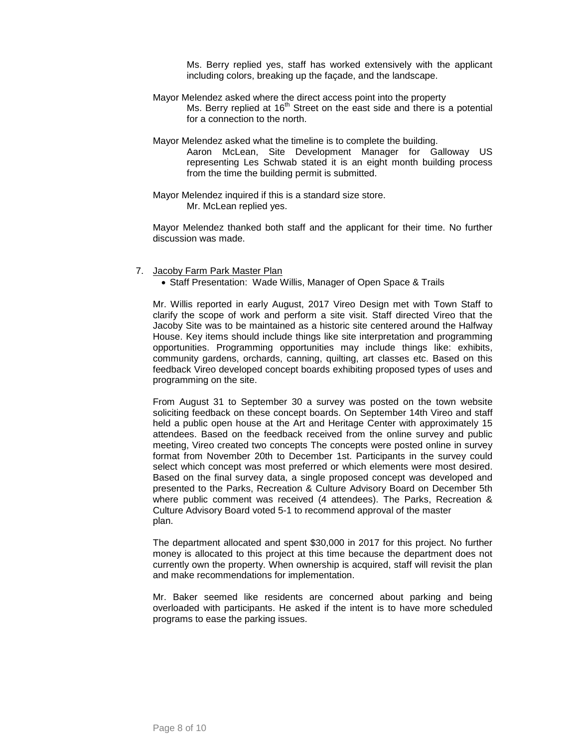Ms. Berry replied yes, staff has worked extensively with the applicant including colors, breaking up the façade, and the landscape.

- Mayor Melendez asked where the direct access point into the property Ms. Berry replied at  $16<sup>th</sup>$  Street on the east side and there is a potential for a connection to the north.
- Mayor Melendez asked what the timeline is to complete the building.

Aaron McLean, Site Development Manager for Galloway US representing Les Schwab stated it is an eight month building process from the time the building permit is submitted.

Mayor Melendez inquired if this is a standard size store. Mr. McLean replied yes.

Mayor Melendez thanked both staff and the applicant for their time. No further discussion was made.

- 7. Jacoby Farm Park Master Plan
	- Staff Presentation: Wade Willis, Manager of Open Space & Trails

Mr. Willis reported in early August, 2017 Vireo Design met with Town Staff to clarify the scope of work and perform a site visit. Staff directed Vireo that the Jacoby Site was to be maintained as a historic site centered around the Halfway House. Key items should include things like site interpretation and programming opportunities. Programming opportunities may include things like: exhibits, community gardens, orchards, canning, quilting, art classes etc. Based on this feedback Vireo developed concept boards exhibiting proposed types of uses and programming on the site.

From August 31 to September 30 a survey was posted on the town website soliciting feedback on these concept boards. On September 14th Vireo and staff held a public open house at the Art and Heritage Center with approximately 15 attendees. Based on the feedback received from the online survey and public meeting, Vireo created two concepts The concepts were posted online in survey format from November 20th to December 1st. Participants in the survey could select which concept was most preferred or which elements were most desired. Based on the final survey data, a single proposed concept was developed and presented to the Parks, Recreation & Culture Advisory Board on December 5th where public comment was received (4 attendees). The Parks, Recreation & Culture Advisory Board voted 5-1 to recommend approval of the master plan.

The department allocated and spent \$30,000 in 2017 for this project. No further money is allocated to this project at this time because the department does not currently own the property. When ownership is acquired, staff will revisit the plan and make recommendations for implementation.

Mr. Baker seemed like residents are concerned about parking and being overloaded with participants. He asked if the intent is to have more scheduled programs to ease the parking issues.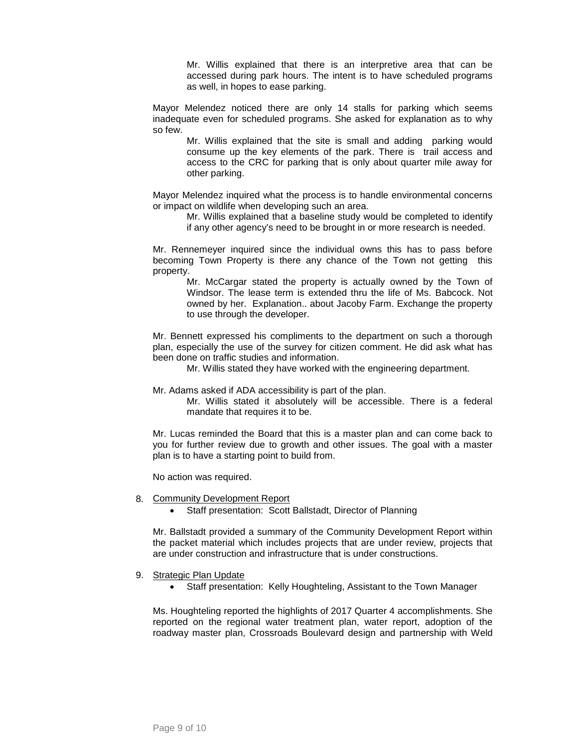Mr. Willis explained that there is an interpretive area that can be accessed during park hours. The intent is to have scheduled programs as well, in hopes to ease parking.

Mayor Melendez noticed there are only 14 stalls for parking which seems inadequate even for scheduled programs. She asked for explanation as to why so few.

Mr. Willis explained that the site is small and adding parking would consume up the key elements of the park. There is trail access and access to the CRC for parking that is only about quarter mile away for other parking.

Mayor Melendez inquired what the process is to handle environmental concerns or impact on wildlife when developing such an area.

Mr. Willis explained that a baseline study would be completed to identify if any other agency's need to be brought in or more research is needed.

Mr. Rennemeyer inquired since the individual owns this has to pass before becoming Town Property is there any chance of the Town not getting this property.

Mr. McCargar stated the property is actually owned by the Town of Windsor. The lease term is extended thru the life of Ms. Babcock. Not owned by her. Explanation.. about Jacoby Farm. Exchange the property to use through the developer.

Mr. Bennett expressed his compliments to the department on such a thorough plan, especially the use of the survey for citizen comment. He did ask what has been done on traffic studies and information.

Mr. Willis stated they have worked with the engineering department.

Mr. Adams asked if ADA accessibility is part of the plan.

Mr. Willis stated it absolutely will be accessible. There is a federal mandate that requires it to be.

Mr. Lucas reminded the Board that this is a master plan and can come back to you for further review due to growth and other issues. The goal with a master plan is to have a starting point to build from.

No action was required.

### 8. Community Development Report

• Staff presentation: Scott Ballstadt, Director of Planning

Mr. Ballstadt provided a summary of the Community Development Report within the packet material which includes projects that are under review, projects that are under construction and infrastructure that is under constructions.

### 9. Strategic Plan Update

• Staff presentation: Kelly Houghteling, Assistant to the Town Manager

Ms. Houghteling reported the highlights of 2017 Quarter 4 accomplishments. She reported on the regional water treatment plan, water report, adoption of the roadway master plan, Crossroads Boulevard design and partnership with Weld